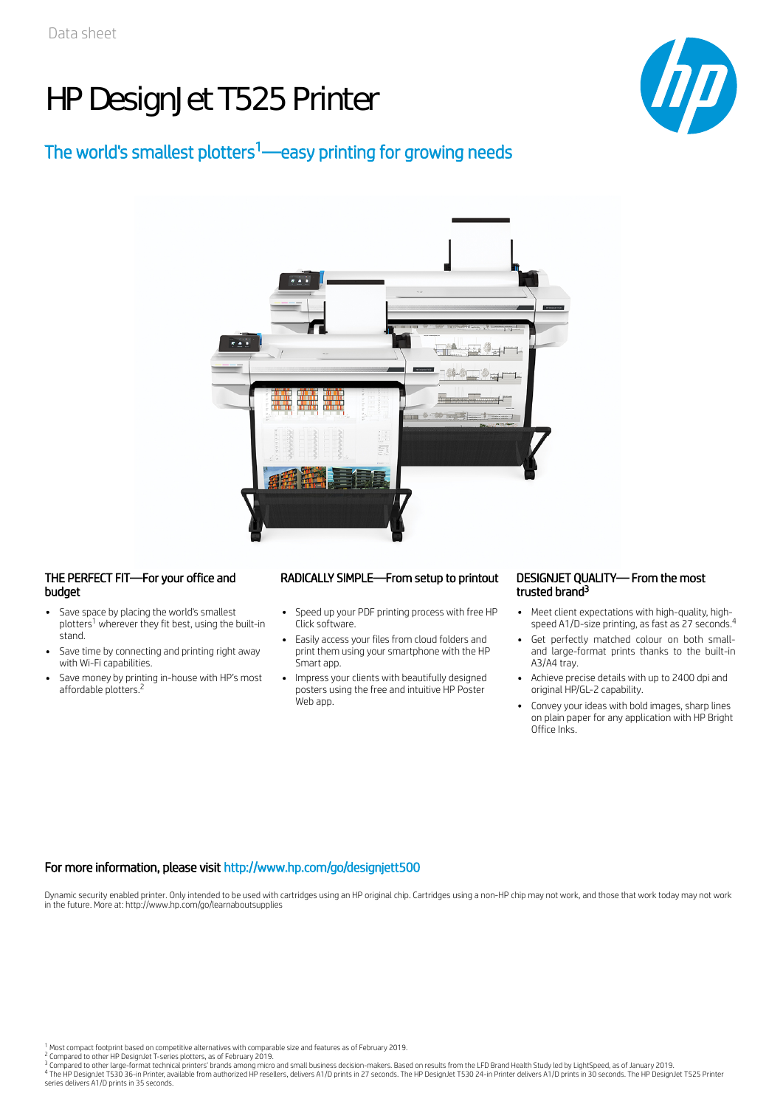# HP DesignJet T525 Printer



## The world's smallest plotters<sup>1</sup>—easy printing for growing needs



#### THE PERFECT FIT—For your office and budget

- Save space by placing the world's smallest plotters<sup>1</sup> wherever they fit best, using the built-in stand.
- Save time by connecting and printing right away with Wi-Fi capabilities.
- Save money by printing in-house with HP's most affordable plotters.<sup>2</sup>

### RADICALLY SIMPLE—From setup to printout DESIGNJET QUALITY— From the most

- Speed up your PDF printing process with free HP Click software.
- Easily access your files from cloud folders and print them using your smartphone with the HP Smart app.
- Impress your clients with beautifully designed posters using the free and intuitive HP Poster Web app.

## trusted brand 3

- Meet client expectations with high-quality, highspeed A1/D-size printing, as fast as 27 seconds.<sup>4</sup>
- Get perfectly matched colour on both smalland large-format prints thanks to the built-in A3/A4 tray.
- Achieve precise details with up to 2400 dpi and original HP/GL-2 capability.
- Convey your ideas with bold images, sharp lines on plain paper for any application with HP Bright Office Inks.

### For more information, please visit http://www.hp.com/go/designjett500

Dynamic security enabled printer. Only intended to be used with cartridges using an HP original chip. Cartridges using a non-HP chip may not work, and those that work today may not work in the future. More at: http://www.hp.com/go/learnaboutsupplies

Compared to other HP DesignJet T-series plotters, as of February 2019.<br>Compared to other large-format technical printers' brands among micro and small business decision-makers. Based on results from the LFD Brand Health St series delivers A1/D prints in 35 seconds. 2 3 4

Most compact footprint based on competitive alternatives with comparable size and features as of February 2019. 1